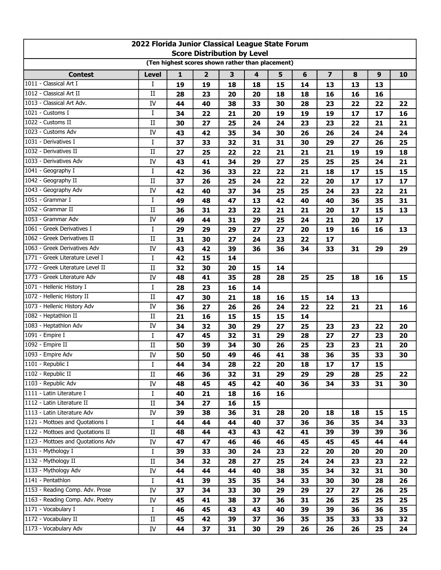| 2022 Florida Junior Classical League State Forum<br><b>Score Distribution by Level</b> |              |             |                         |    |                  |    |    |                         |    |    |    |  |
|----------------------------------------------------------------------------------------|--------------|-------------|-------------------------|----|------------------|----|----|-------------------------|----|----|----|--|
| (Ten highest scores shown rather than placement)                                       |              |             |                         |    |                  |    |    |                         |    |    |    |  |
| <b>Contest</b>                                                                         | <b>Level</b> | $\mathbf 1$ | $\overline{\mathbf{2}}$ | 3  | $\boldsymbol{4}$ | 5  | 6  | $\overline{\mathbf{z}}$ | 8  | 9  | 10 |  |
| 1011 - Classical Art I                                                                 | I            | 19          | 19                      | 18 | 18               | 15 | 14 | 13                      | 13 | 13 |    |  |
| 1012 - Classical Art II                                                                | $\rm II$     | 28          | 23                      | 20 | 20               | 18 | 18 | 16                      | 16 | 16 |    |  |
| 1013 - Classical Art Adv.                                                              | IV           | 44          | 40                      | 38 | 33               | 30 | 28 | 23                      | 22 | 22 | 22 |  |
| 1021 - Customs I                                                                       | Ι            | 34          | 22                      | 21 | 20               | 19 | 19 | 19                      | 17 | 17 | 16 |  |
| 1022 - Customs II                                                                      | $\rm II$     | 30          | 27                      | 25 | 24               | 24 | 23 | 23                      | 22 | 21 | 21 |  |
| 1023 - Customs Adv                                                                     | IV           | 43          | 42                      | 35 | 34               | 30 | 26 | 26                      | 24 | 24 | 24 |  |
| 1031 - Derivatives I                                                                   | I            | 37          | 33                      | 32 | 31               | 31 | 30 | 29                      | 27 | 26 | 25 |  |
| 1032 - Derivatives II                                                                  | $\rm II$     | 27          | 25                      | 22 | 22               | 21 | 21 | 21                      | 19 | 19 | 18 |  |
| 1033 - Derivatives Adv                                                                 | IV           | 43          | 41                      | 34 | 29               | 27 | 25 | 25                      | 25 | 24 | 21 |  |
| 1041 - Geography I                                                                     | I            | 42          | 36                      | 33 | 22               | 22 | 21 | 18                      | 17 | 15 | 15 |  |
| 1042 - Geography II                                                                    | $\rm II$     | 37          | 26                      | 25 | 24               | 22 | 22 | 20                      | 17 | 17 | 17 |  |
| 1043 - Geography Adv                                                                   | IV           | 42          | 40                      | 37 | 34               | 25 | 25 | 24                      | 23 | 22 | 21 |  |
| 1051 - Grammar I                                                                       | I            | 49          | 48                      | 47 | 13               | 42 | 40 | 40                      | 36 | 35 | 31 |  |
| 1052 - Grammar II                                                                      | $\rm II$     | 36          | 31                      | 23 | 22               | 21 | 21 | 20                      | 17 | 15 | 13 |  |
| 1053 - Grammar Adv                                                                     | IV           | 49          | 44                      | 31 | 29               | 25 | 24 | 21                      | 20 | 17 |    |  |
| 1061 - Greek Derivatives I                                                             | Ι            | 29          | 29                      | 29 | 27               | 27 | 20 | 19                      | 16 | 16 | 13 |  |
| 1062 - Greek Derivatives II                                                            | $\rm II$     | 31          | 30                      | 27 | 24               | 23 | 22 | 17                      |    |    |    |  |
| 1063 - Greek Derivatives Adv                                                           | IV           | 43          | 42                      | 39 | 36               | 36 | 34 | 33                      | 31 | 29 | 29 |  |
| 1771 - Greek Literature Level I                                                        | Ι            | 42          | 15                      | 14 |                  |    |    |                         |    |    |    |  |
| 1772 - Greek Literature Level II                                                       | $\rm II$     | 32          | 30                      | 20 | 15               | 14 |    |                         |    |    |    |  |
| 1773 - Greek Literature Adv                                                            | IV           | 48          | 41                      | 35 | 28               | 28 | 25 | 25                      | 18 | 16 | 15 |  |
| 1071 - Hellenic History I                                                              | Ι            | 28          | 23                      | 16 | 14               |    |    |                         |    |    |    |  |
| 1072 - Hellenic History II                                                             | $\rm II$     | 47          | 30                      | 21 | 18               | 16 | 15 | 14                      | 13 |    |    |  |
| 1073 - Hellenic History Adv                                                            | IV           | 36          | 27                      | 26 | 26               | 24 | 22 | 22                      | 21 | 21 | 16 |  |
| 1082 - Heptathlon II                                                                   | $\rm II$     | 21          | 16                      | 15 | 15               | 15 | 14 |                         |    |    |    |  |
| 1083 - Heptathlon Adv                                                                  | IV           | 34          | 32                      | 30 | 29               | 27 | 25 | 23                      | 23 | 22 | 20 |  |
| 1091 - Empire I                                                                        | I            | 47          | 45                      | 32 | 31               | 29 | 28 | 27                      | 27 | 23 | 20 |  |
| 1092 - Empire II                                                                       | $\rm II$     | 50          | 39                      | 34 | 30               | 26 | 25 | 23                      | 23 | 21 | 20 |  |
| 1093 - Empire Adv                                                                      | IV           | 50          | 50                      | 49 | 46               | 41 | 38 | 36                      | 35 | 33 | 30 |  |
| 1101 - Republic I                                                                      | I            | 44          | 34                      | 28 | 22               | 20 | 18 | 17                      | 17 | 15 |    |  |
| 1102 - Republic II                                                                     | $\rm II$     | 46          | 36                      | 32 | 31               | 29 | 29 | 29                      | 28 | 25 | 22 |  |
| 1103 - Republic Adv                                                                    | IV           | 48          | 45                      | 45 | 42               | 40 | 36 | 34                      | 33 | 31 | 30 |  |
| 1111 - Latin Literature I                                                              | Ι            | 40          | 21                      | 18 | 16               | 16 |    |                         |    |    |    |  |
| 1112 - Latin Literature II                                                             | $\rm II$     | 34          | 27                      | 16 | 15               |    |    |                         |    |    |    |  |
| 1113 - Latin Literature Adv                                                            | IV           | 39          | 38                      | 36 | 31               | 28 | 20 | 18                      | 18 | 15 | 15 |  |
| 1121 - Mottoes and Quotations I                                                        | I            | 44          | 44                      | 44 | 40               | 37 | 36 | 36                      | 35 | 34 | 33 |  |
| 1122 - Mottoes and Quotations II                                                       | $\rm II$     | 48          | 44                      | 43 | 43               | 42 | 41 | 39                      | 39 | 39 | 36 |  |
| 1123 - Mottoes and Quotations Adv                                                      | ${\rm IV}$   | 47          | 47                      | 46 | 46               | 46 | 45 | 45                      | 45 | 44 | 44 |  |
| 1131 - Mythology I                                                                     | I            | 39          | 33                      | 30 | 24               | 23 | 22 | 20                      | 20 | 20 | 20 |  |
| 1132 - Mythology II                                                                    | $\rm II$     | 34          | 32                      | 28 | 27               | 25 | 24 | 24                      | 23 | 23 | 22 |  |
| 1133 - Mythology Adv                                                                   | IV           | 44          | 44                      | 44 | 40               | 38 | 35 | 34                      | 32 | 31 | 30 |  |
| 1141 - Pentathlon                                                                      | Ι            | 41          | 39                      | 35 | 35               | 34 | 33 | 30                      | 30 | 28 | 26 |  |
| 1153 - Reading Comp. Adv. Prose                                                        | IV           | 37          | 34                      | 33 | 30               | 29 | 29 | 27                      | 27 | 26 | 25 |  |
| 1163 - Reading Comp. Adv. Poetry                                                       | IV           | 45          | 41                      | 38 | 37               | 36 | 31 | 26                      | 25 | 25 | 25 |  |
| 1171 - Vocabulary I                                                                    | Ι            | 46          | 45                      | 43 | 43               | 40 | 39 | 39                      | 36 | 36 | 35 |  |
| 1172 - Vocabulary II                                                                   | $\rm II$     | 45          | 42                      | 39 | 37               | 36 | 35 | 35                      | 33 | 33 | 32 |  |
| 1173 - Vocabulary Adv                                                                  | IV           | 44          | 37                      | 31 | 30               | 29 | 26 | 26                      | 26 | 25 | 24 |  |